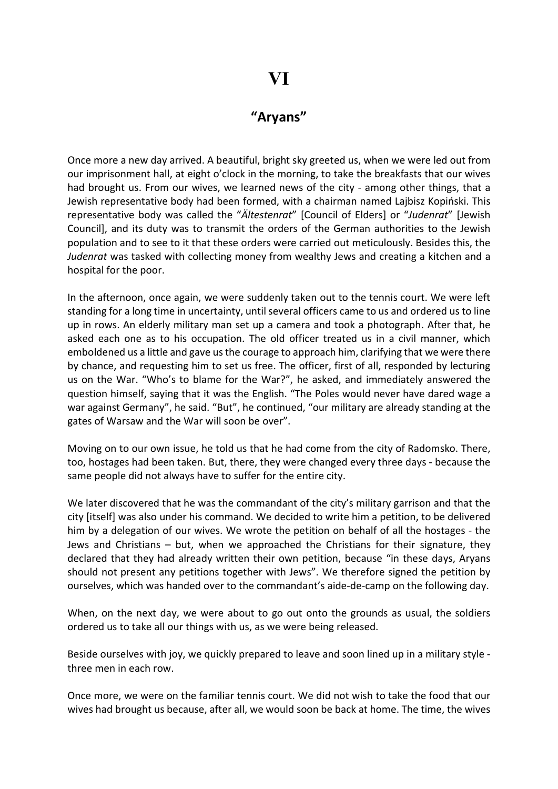## VI

## "Aryans"

Once more a new day arrived. A beautiful, bright sky greeted us, when we were led out from our imprisonment hall, at eight o'clock in the morning, to take the breakfasts that our wives had brought us. From our wives, we learned news of the city - among other things, that a Jewish representative body had been formed, with a chairman named Lajbisz Kopiński. This representative body was called the "Ältestenrat" [Council of Elders] or "Judenrat" [Jewish Council], and its duty was to transmit the orders of the German authorities to the Jewish population and to see to it that these orders were carried out meticulously. Besides this, the Judenrat was tasked with collecting money from wealthy Jews and creating a kitchen and a hospital for the poor.

In the afternoon, once again, we were suddenly taken out to the tennis court. We were left standing for a long time in uncertainty, until several officers came to us and ordered us to line up in rows. An elderly military man set up a camera and took a photograph. After that, he asked each one as to his occupation. The old officer treated us in a civil manner, which emboldened us a little and gave us the courage to approach him, clarifying that we were there by chance, and requesting him to set us free. The officer, first of all, responded by lecturing us on the War. "Who's to blame for the War?", he asked, and immediately answered the question himself, saying that it was the English. "The Poles would never have dared wage a war against Germany", he said. "But", he continued, "our military are already standing at the gates of Warsaw and the War will soon be over".

Moving on to our own issue, he told us that he had come from the city of Radomsko. There, too, hostages had been taken. But, there, they were changed every three days - because the same people did not always have to suffer for the entire city.

We later discovered that he was the commandant of the city's military garrison and that the city [itself] was also under his command. We decided to write him a petition, to be delivered him by a delegation of our wives. We wrote the petition on behalf of all the hostages - the Jews and Christians – but, when we approached the Christians for their signature, they declared that they had already written their own petition, because "in these days, Aryans should not present any petitions together with Jews". We therefore signed the petition by ourselves, which was handed over to the commandant's aide-de-camp on the following day.

When, on the next day, we were about to go out onto the grounds as usual, the soldiers ordered us to take all our things with us, as we were being released.

Beside ourselves with joy, we quickly prepared to leave and soon lined up in a military style three men in each row.

Once more, we were on the familiar tennis court. We did not wish to take the food that our wives had brought us because, after all, we would soon be back at home. The time, the wives